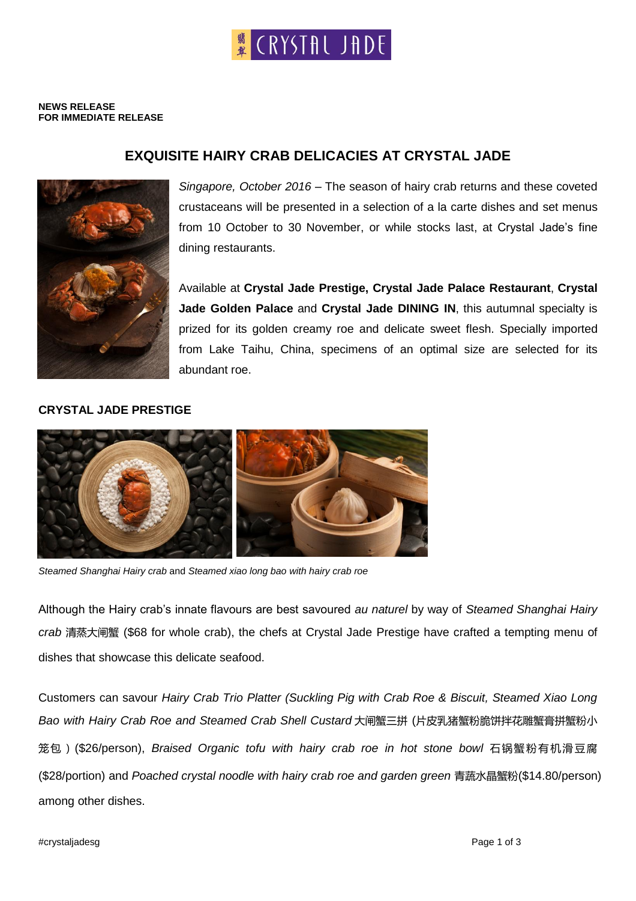# <sup>翡</sup>(RYSTAL JADE

#### **NEWS RELEASE FOR IMMEDIATE RELEASE**

## **EXQUISITE HAIRY CRAB DELICACIES AT CRYSTAL JADE**



*Singapore, October 2016* – The season of hairy crab returns and these coveted crustaceans will be presented in a selection of a la carte dishes and set menus from 10 October to 30 November, or while stocks last, at Crystal Jade's fine dining restaurants.

Available at **Crystal Jade Prestige, Crystal Jade Palace Restaurant**, **Crystal Jade Golden Palace** and **Crystal Jade DINING IN**, this autumnal specialty is prized for its golden creamy roe and delicate sweet flesh. Specially imported from Lake Taihu, China, specimens of an optimal size are selected for its abundant roe.

## **CRYSTAL JADE PRESTIGE**



*Steamed Shanghai Hairy crab* and *Steamed xiao long bao with hairy crab roe*

Although the Hairy crab's innate flavours are best savoured *au naturel* by way of *Steamed Shanghai Hairy crab* 清蒸大闸蟹 (\$68 for whole crab), the chefs at Crystal Jade Prestige have crafted a tempting menu of dishes that showcase this delicate seafood.

Customers can savour *Hairy Crab Trio Platter (Suckling Pig with Crab Roe & Biscuit, Steamed Xiao Long Bao with Hairy Crab Roe and Steamed Crab Shell Custard* 大闸蟹三拼 (片皮乳猪蟹粉脆饼拌花雕蟹膏拼蟹粉小 笼包)(\$26/person), *Braised Organic tofu with hairy crab roe in hot stone bowl* 石锅蟹粉有机滑豆腐 (\$28/portion) and *Poached crystal noodle with hairy crab roe and garden green* 青蔬水晶蟹粉(\$14.80/person) among other dishes.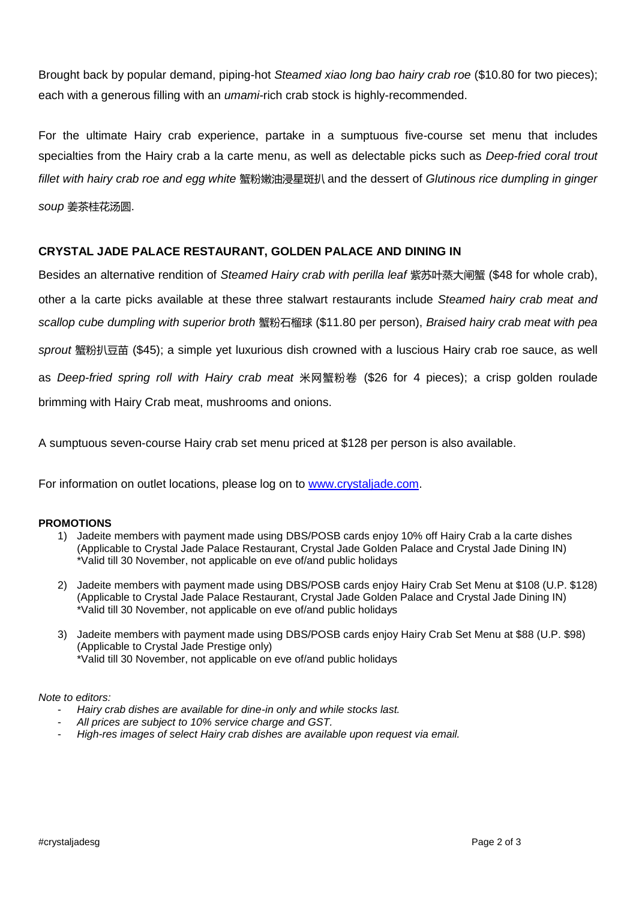Brought back by popular demand, piping-hot *Steamed xiao long bao hairy crab roe* (\$10.80 for two pieces); each with a generous filling with an *umami-*rich crab stock is highly-recommended.

For the ultimate Hairy crab experience, partake in a sumptuous five-course set menu that includes specialties from the Hairy crab a la carte menu, as well as delectable picks such as *Deep-fried coral trout fillet with hairy crab roe and egg white* 蟹粉嫩油浸星斑扒 and the dessert of *Glutinous rice dumpling in ginger soup* 姜茶桂花汤圆.

## **CRYSTAL JADE PALACE RESTAURANT, GOLDEN PALACE AND DINING IN**

Besides an alternative rendition of *Steamed Hairy crab with perilla leaf* 紫苏叶蒸大闸蟹 (\$48 for whole crab), other a la carte picks available at these three stalwart restaurants include *Steamed hairy crab meat and scallop cube dumpling with superior broth* 蟹粉石榴球 (\$11.80 per person), *Braised hairy crab meat with pea sprout* 蟹粉扒豆苗 (\$45); a simple yet luxurious dish crowned with a luscious Hairy crab roe sauce, as well as *Deep-fried spring roll with Hairy crab meat* 米网蟹粉卷 (\$26 for 4 pieces); a crisp golden roulade brimming with Hairy Crab meat, mushrooms and onions.

A sumptuous seven-course Hairy crab set menu priced at \$128 per person is also available.

For information on outlet locations, please log on to [www.crystaljade.com.](http://www.crystaljade.com/)

### **PROMOTIONS**

- 1) Jadeite members with payment made using DBS/POSB cards enjoy 10% off Hairy Crab a la carte dishes (Applicable to Crystal Jade Palace Restaurant, Crystal Jade Golden Palace and Crystal Jade Dining IN) \*Valid till 30 November, not applicable on eve of/and public holidays
- 2) Jadeite members with payment made using DBS/POSB cards enjoy Hairy Crab Set Menu at \$108 (U.P. \$128) (Applicable to Crystal Jade Palace Restaurant, Crystal Jade Golden Palace and Crystal Jade Dining IN) \*Valid till 30 November, not applicable on eve of/and public holidays
- 3) Jadeite members with payment made using DBS/POSB cards enjoy Hairy Crab Set Menu at \$88 (U.P. \$98) (Applicable to Crystal Jade Prestige only) \*Valid till 30 November, not applicable on eve of/and public holidays

#### *Note to editors:*

- *Hairy crab dishes are available for dine-in only and while stocks last.*
- *All prices are subject to 10% service charge and GST.*
- *High-res images of select Hairy crab dishes are available upon request via email.*